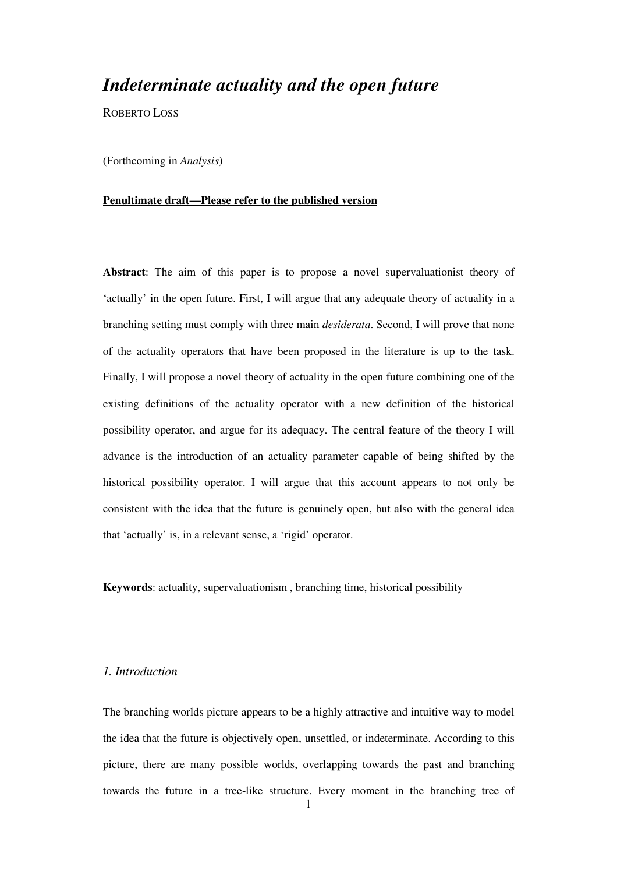# *Indeterminate actuality and the open future*

ROBERTO LOSS

(Forthcoming in *Analysis*)

## **Penultimate draft—Please refer to the published version**

**Abstract**: The aim of this paper is to propose a novel supervaluationist theory of 'actually' in the open future. First, I will argue that any adequate theory of actuality in a branching setting must comply with three main *desiderata*. Second, I will prove that none of the actuality operators that have been proposed in the literature is up to the task. Finally, I will propose a novel theory of actuality in the open future combining one of the existing definitions of the actuality operator with a new definition of the historical possibility operator, and argue for its adequacy. The central feature of the theory I will advance is the introduction of an actuality parameter capable of being shifted by the historical possibility operator. I will argue that this account appears to not only be consistent with the idea that the future is genuinely open, but also with the general idea that 'actually' is, in a relevant sense, a 'rigid' operator.

**Keywords**: actuality, supervaluationism , branching time, historical possibility

## *1. Introduction*

The branching worlds picture appears to be a highly attractive and intuitive way to model the idea that the future is objectively open, unsettled, or indeterminate. According to this picture, there are many possible worlds, overlapping towards the past and branching towards the future in a tree-like structure. Every moment in the branching tree of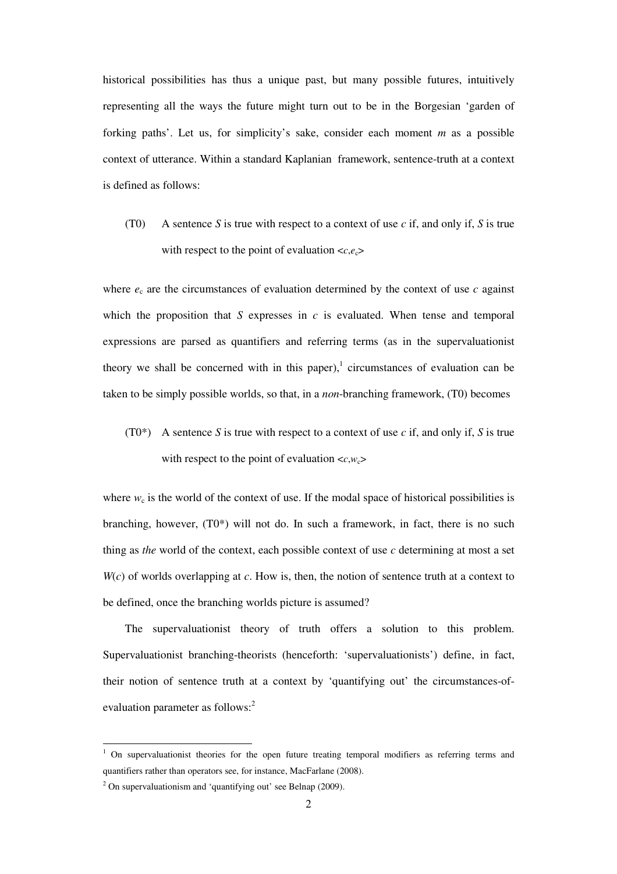historical possibilities has thus a unique past, but many possible futures, intuitively representing all the ways the future might turn out to be in the Borgesian 'garden of forking paths'. Let us, for simplicity's sake, consider each moment *m* as a possible context of utterance. Within a standard Kaplanian framework, sentence-truth at a context is defined as follows:

(T0) A sentence *S* is true with respect to a context of use *c* if, and only if, *S* is true with respect to the point of evaluation  $\langle c, e_c \rangle$ 

where  $e_c$  are the circumstances of evaluation determined by the context of use  $c$  against which the proposition that *S* expresses in *c* is evaluated. When tense and temporal expressions are parsed as quantifiers and referring terms (as in the supervaluationist theory we shall be concerned with in this paper), $\frac{1}{1}$  circumstances of evaluation can be taken to be simply possible worlds, so that, in a *non*-branching framework, (T0) becomes

(T0\*) A sentence *S* is true with respect to a context of use *c* if, and only if, *S* is true with respect to the point of evaluation  $\langle c, w_c \rangle$ 

where  $w_c$  is the world of the context of use. If the modal space of historical possibilities is branching, however,  $(T0^*)$  will not do. In such a framework, in fact, there is no such thing as *the* world of the context, each possible context of use *c* determining at most a set *W*(*c*) of worlds overlapping at *c*. How is, then, the notion of sentence truth at a context to be defined, once the branching worlds picture is assumed?

The supervaluationist theory of truth offers a solution to this problem. Supervaluationist branching-theorists (henceforth: 'supervaluationists') define, in fact, their notion of sentence truth at a context by 'quantifying out' the circumstances-ofevaluation parameter as follows:<sup>2</sup>

 $\overline{a}$ 

<sup>&</sup>lt;sup>1</sup> On supervaluationist theories for the open future treating temporal modifiers as referring terms and quantifiers rather than operators see, for instance, MacFarlane (2008).

<sup>&</sup>lt;sup>2</sup> On supervaluationism and 'quantifying out' see Belnap (2009).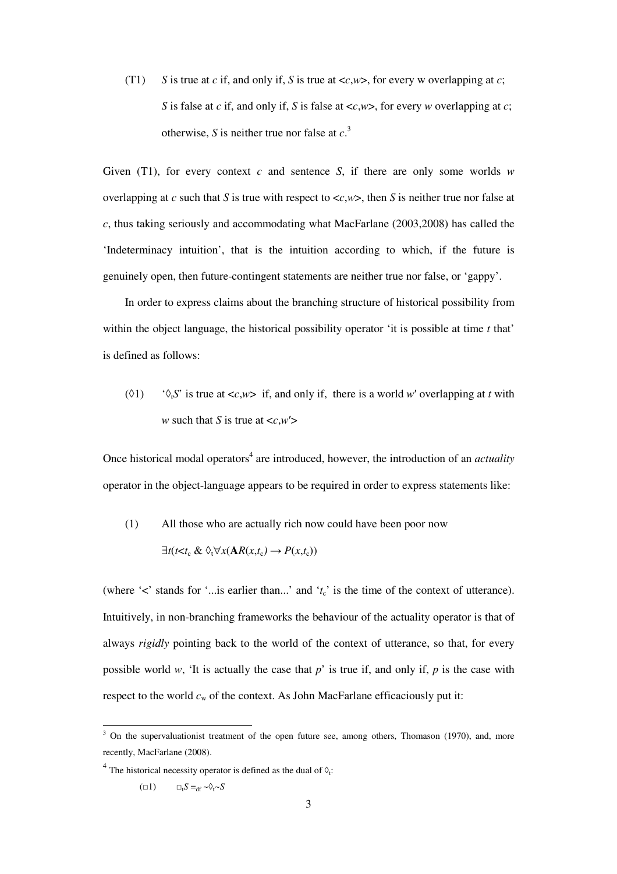(T1) *S* is true at *c* if, and only if, *S* is true at <*c*,*w*>, for every w overlapping at *c*; *S* is false at *c* if, and only if, *S* is false at <*c*,*w*>, for every *w* overlapping at *c*; otherwise, *S* is neither true nor false at *c*. 3

Given (T1), for every context  $c$  and sentence  $S$ , if there are only some worlds  $w$ overlapping at *c* such that *S* is true with respect to <*c*,*w*>, then *S* is neither true nor false at *c*, thus taking seriously and accommodating what MacFarlane (2003,2008) has called the 'Indeterminacy intuition', that is the intuition according to which, if the future is genuinely open, then future-contingent statements are neither true nor false, or 'gappy'.

In order to express claims about the branching structure of historical possibility from within the object language, the historical possibility operator 'it is possible at time *t* that' is defined as follows:

( $\Diamond$ 1) ' $\Diamond$ <sub>*S*</sub>' is true at  $\langle c, w \rangle$  if, and only if, there is a world *w*' overlapping at *t* with *w* such that *S* is true at  $\langle c, w' \rangle$ 

Once historical modal operators<sup>4</sup> are introduced, however, the introduction of an *actuality* operator in the object-language appears to be required in order to express statements like:

(1) All those who are actually rich now could have been poor now  $\exists t (t \leq t_c \& \Diamond_t \forall x (\mathbf{A} R(x, t_c) \rightarrow P(x, t_c))$ 

(where  $\leq$ ' stands for  $\leq$ '...is earlier than...' and  $\leq$ '<sub>tc</sub>' is the time of the context of utterance). Intuitively, in non-branching frameworks the behaviour of the actuality operator is that of always *rigidly* pointing back to the world of the context of utterance, so that, for every possible world *w*, 'It is actually the case that *p*' is true if, and only if, *p* is the case with respect to the world *c*w of the context. As John MacFarlane efficaciously put it:

 $\ddot{\phantom{a}}$ 

<sup>3</sup> On the supervaluationist treatment of the open future see, among others, Thomason (1970), and, more recently, MacFarlane (2008).

<sup>&</sup>lt;sup>4</sup> The historical necessity operator is defined as the dual of  $\Diamond_t$ :

 $\Box$ 1)  $\Box$ <sub>t</sub> $S =_{df} \sim \Diamond_t \sim S$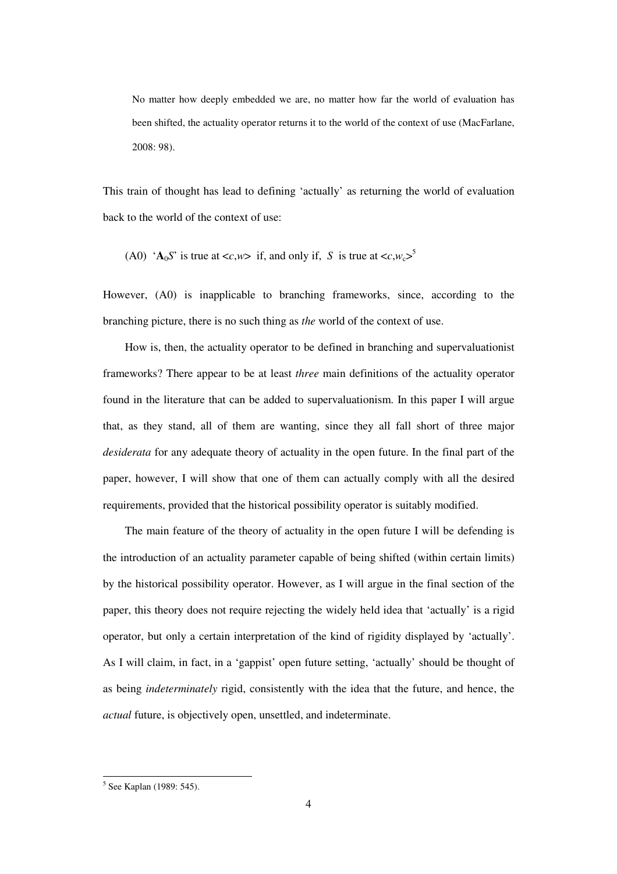No matter how deeply embedded we are, no matter how far the world of evaluation has been shifted, the actuality operator returns it to the world of the context of use (MacFarlane, 2008: 98).

This train of thought has lead to defining 'actually' as returning the world of evaluation back to the world of the context of use:

(A0) ' $\mathbf{A}_0 S$ ' is true at  $\langle c, w \rangle$  if, and only if, *S* is true at  $\langle c, w_c \rangle^5$ 

However, (A0) is inapplicable to branching frameworks, since, according to the branching picture, there is no such thing as *the* world of the context of use.

How is, then, the actuality operator to be defined in branching and supervaluationist frameworks? There appear to be at least *three* main definitions of the actuality operator found in the literature that can be added to supervaluationism. In this paper I will argue that, as they stand, all of them are wanting, since they all fall short of three major *desiderata* for any adequate theory of actuality in the open future. In the final part of the paper, however, I will show that one of them can actually comply with all the desired requirements, provided that the historical possibility operator is suitably modified.

The main feature of the theory of actuality in the open future I will be defending is the introduction of an actuality parameter capable of being shifted (within certain limits) by the historical possibility operator. However, as I will argue in the final section of the paper, this theory does not require rejecting the widely held idea that 'actually' is a rigid operator, but only a certain interpretation of the kind of rigidity displayed by 'actually'. As I will claim, in fact, in a 'gappist' open future setting, 'actually' should be thought of as being *indeterminately* rigid, consistently with the idea that the future, and hence, the *actual* future, is objectively open, unsettled, and indeterminate.

 $\overline{a}$ 

<sup>5</sup> See Kaplan (1989: 545).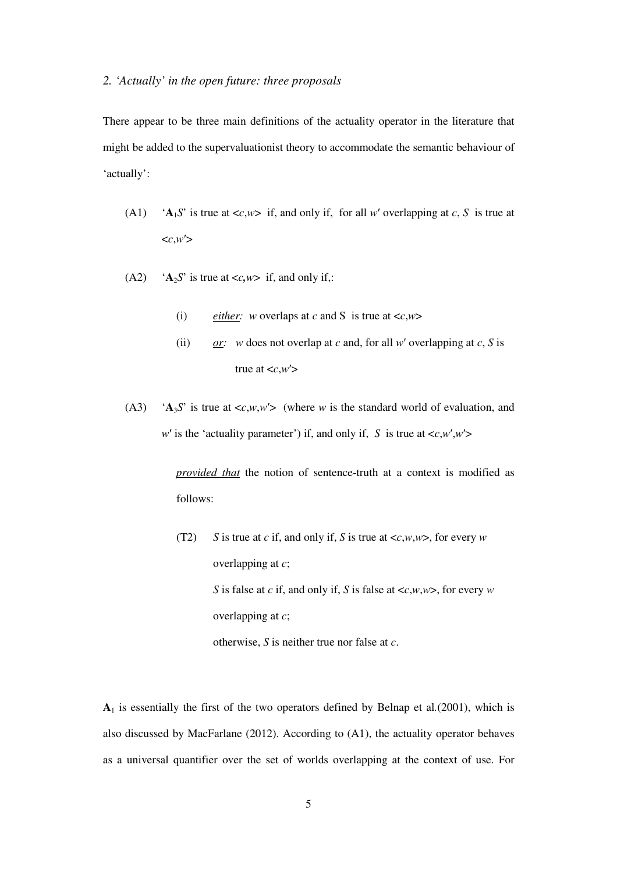There appear to be three main definitions of the actuality operator in the literature that might be added to the supervaluationist theory to accommodate the semantic behaviour of 'actually':

- (A1) ' $\mathbf{A}_1 S$ ' is true at  $\langle c, w \rangle$  if, and only if, for all *w*' overlapping at *c*, *S* is true at  $<$
- (A2)  $\mathbf{A}_2 S'$  is true at  $\langle c, w \rangle$  if, and only if,:
	- (i) *either: w* overlaps at *c* and S is true at  $\langle c, w \rangle$
	- (ii) *or: w* does not overlap at *c* and, for all *w*' overlapping at *c*, *S* is true at  $\langle c, w' \rangle$
- (A3) ' $A_3S$ ' is true at  $\langle c, w, w' \rangle$  (where *w* is the standard world of evaluation, and *w*<sup>'</sup> is the 'actuality parameter') if, and only if, *S* is true at  $\langle c, w', w' \rangle$

*provided that* the notion of sentence-truth at a context is modified as follows:

 (T2) *S* is true at *c* if, and only if, *S* is true at <*c*,*w*,*w*>, for every *w* overlapping at *c*; *S* is false at *c* if, and only if, *S* is false at <*c*,*w*,*w*>, for every *w* overlapping at *c*; otherwise, *S* is neither true nor false at *c*.

 $A_1$  is essentially the first of the two operators defined by Belnap et al. (2001), which is also discussed by MacFarlane (2012). According to (A1), the actuality operator behaves as a universal quantifier over the set of worlds overlapping at the context of use. For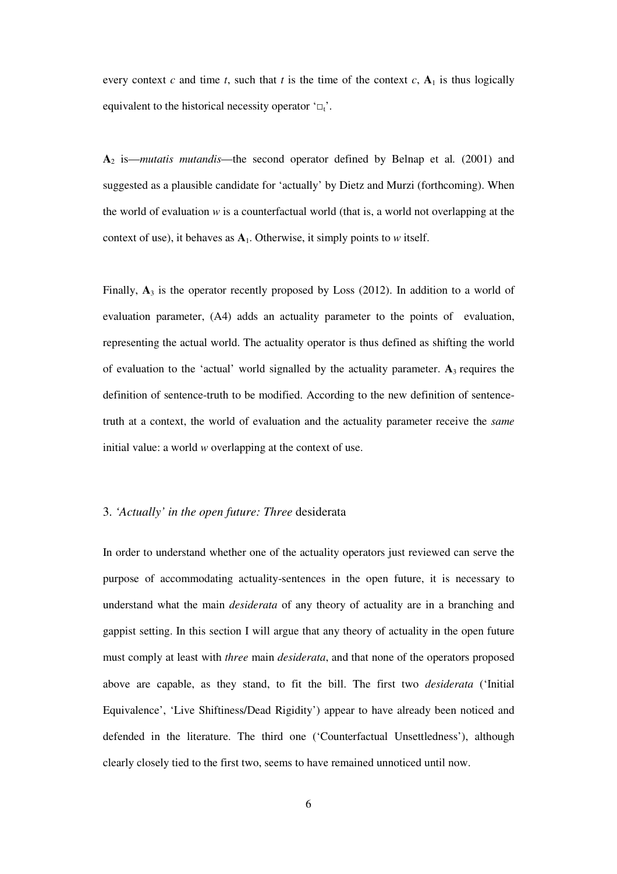every context *c* and time *t*, such that *t* is the time of the context *c*,  $A_1$  is thus logically equivalent to the historical necessity operator  $\ulcorner \Box_t$ .

**A**2 is—*mutatis mutandis*—the second operator defined by Belnap et al*.* (2001) and suggested as a plausible candidate for 'actually' by Dietz and Murzi (forthcoming). When the world of evaluation *w* is a counterfactual world (that is, a world not overlapping at the context of use), it behaves as **A**1. Otherwise, it simply points to *w* itself.

Finally,  $\mathbf{A}_3$  is the operator recently proposed by Loss (2012). In addition to a world of evaluation parameter, (A4) adds an actuality parameter to the points of evaluation, representing the actual world. The actuality operator is thus defined as shifting the world of evaluation to the 'actual' world signalled by the actuality parameter.  $A_3$  requires the definition of sentence-truth to be modified. According to the new definition of sentencetruth at a context, the world of evaluation and the actuality parameter receive the *same* initial value: a world *w* overlapping at the context of use.

## 3. *'Actually' in the open future: Three* desiderata

In order to understand whether one of the actuality operators just reviewed can serve the purpose of accommodating actuality-sentences in the open future, it is necessary to understand what the main *desiderata* of any theory of actuality are in a branching and gappist setting. In this section I will argue that any theory of actuality in the open future must comply at least with *three* main *desiderata*, and that none of the operators proposed above are capable, as they stand, to fit the bill. The first two *desiderata* ('Initial Equivalence', 'Live Shiftiness/Dead Rigidity') appear to have already been noticed and defended in the literature. The third one ('Counterfactual Unsettledness'), although clearly closely tied to the first two, seems to have remained unnoticed until now.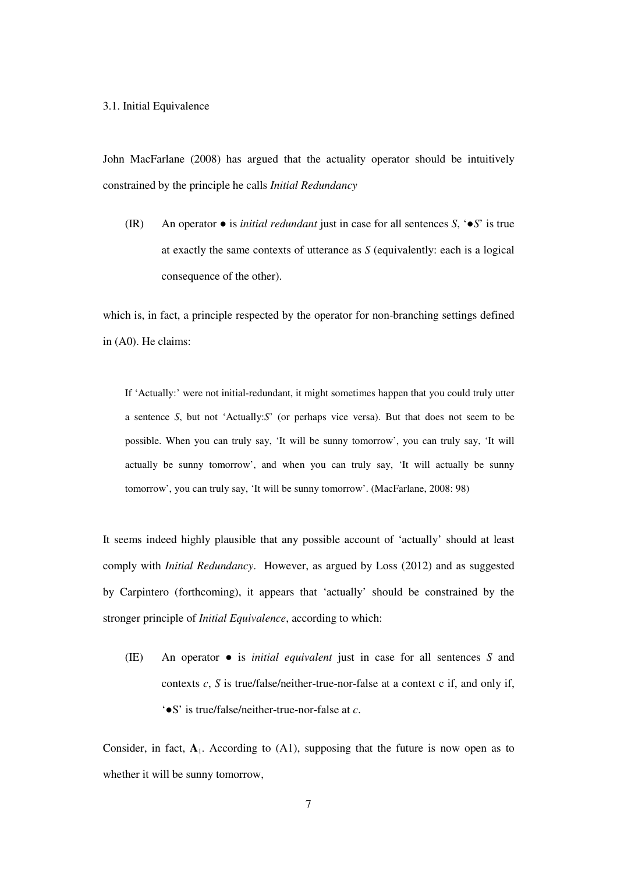3.1. Initial Equivalence

John MacFarlane (2008) has argued that the actuality operator should be intuitively constrained by the principle he calls *Initial Redundancy* 

(IR) An operator  $\bullet$  is *initial redundant* just in case for all sentences  $S$ ,  $\bullet S'$  is true at exactly the same contexts of utterance as *S* (equivalently: each is a logical consequence of the other).

which is, in fact, a principle respected by the operator for non-branching settings defined in (A0). He claims:

If 'Actually:' were not initial-redundant, it might sometimes happen that you could truly utter a sentence *S*, but not 'Actually:*S*' (or perhaps vice versa). But that does not seem to be possible. When you can truly say, 'It will be sunny tomorrow', you can truly say, 'It will actually be sunny tomorrow', and when you can truly say, 'It will actually be sunny tomorrow', you can truly say, 'It will be sunny tomorrow'. (MacFarlane, 2008: 98)

It seems indeed highly plausible that any possible account of 'actually' should at least comply with *Initial Redundancy*. However, as argued by Loss (2012) and as suggested by Carpintero (forthcoming), it appears that 'actually' should be constrained by the stronger principle of *Initial Equivalence*, according to which:

(IE) An operator ● is *initial equivalent* just in case for all sentences *S* and contexts *c*, *S* is true/false/neither-true-nor-false at a context c if, and only if, '●S' is true/false/neither-true-nor-false at *c*.

Consider, in fact,  $\mathbf{A}_1$ . According to (A1), supposing that the future is now open as to whether it will be sunny tomorrow,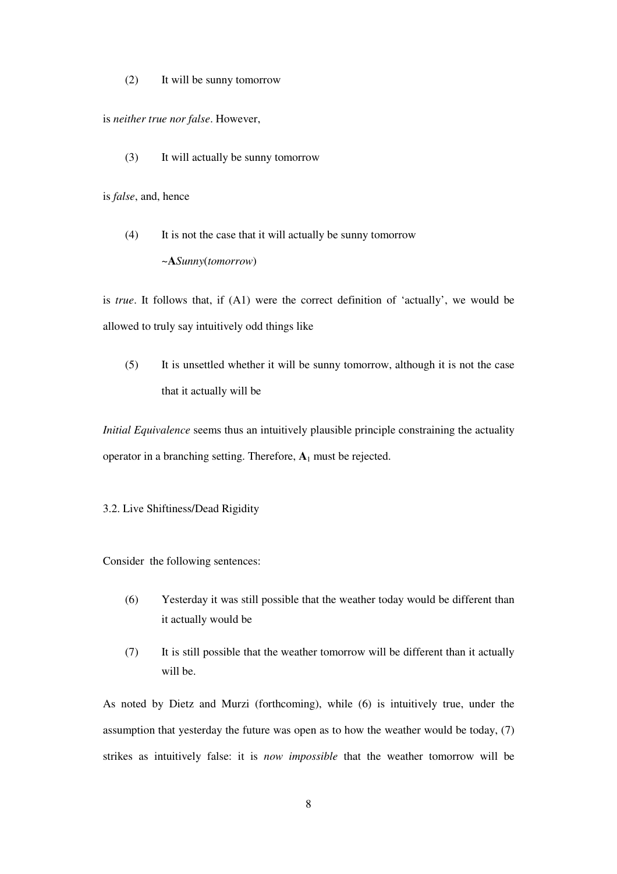(2) It will be sunny tomorrow

is *neither true nor false*. However,

(3) It will actually be sunny tomorrow

is *false*, and, hence

(4) It is not the case that it will actually be sunny tomorrow ~**A***Sunny*(*tomorrow*)

is *true*. It follows that, if (A1) were the correct definition of 'actually', we would be allowed to truly say intuitively odd things like

(5) It is unsettled whether it will be sunny tomorrow, although it is not the case that it actually will be

*Initial Equivalence* seems thus an intuitively plausible principle constraining the actuality operator in a branching setting. Therefore, **A**1 must be rejected.

## 3.2. Live Shiftiness/Dead Rigidity

Consider the following sentences:

- (6) Yesterday it was still possible that the weather today would be different than it actually would be
- (7) It is still possible that the weather tomorrow will be different than it actually will be.

As noted by Dietz and Murzi (forthcoming), while (6) is intuitively true, under the assumption that yesterday the future was open as to how the weather would be today, (7) strikes as intuitively false: it is *now impossible* that the weather tomorrow will be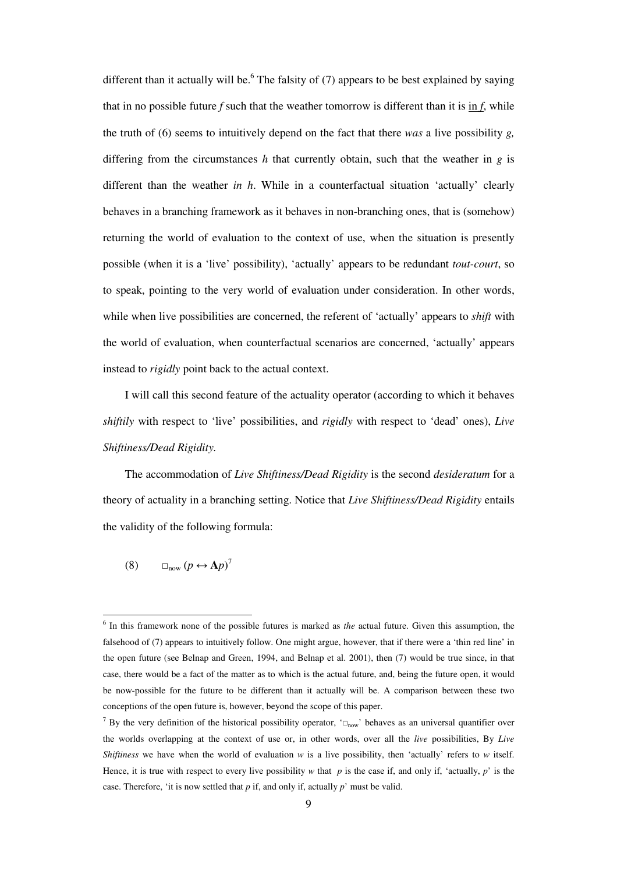different than it actually will be.<sup>6</sup> The falsity of  $(7)$  appears to be best explained by saying that in no possible future  $f$  such that the weather tomorrow is different than it is in  $f$ , while the truth of (6) seems to intuitively depend on the fact that there *was* a live possibility *g,* differing from the circumstances  $h$  that currently obtain, such that the weather in  $g$  is different than the weather *in h*. While in a counterfactual situation 'actually' clearly behaves in a branching framework as it behaves in non-branching ones, that is (somehow) returning the world of evaluation to the context of use, when the situation is presently possible (when it is a 'live' possibility), 'actually' appears to be redundant *tout-court*, so to speak, pointing to the very world of evaluation under consideration. In other words, while when live possibilities are concerned, the referent of 'actually' appears to *shift* with the world of evaluation, when counterfactual scenarios are concerned, 'actually' appears instead to *rigidly* point back to the actual context.

I will call this second feature of the actuality operator (according to which it behaves *shiftily* with respect to 'live' possibilities, and *rigidly* with respect to 'dead' ones), *Live Shiftiness/Dead Rigidity.*

The accommodation of *Live Shiftiness/Dead Rigidity* is the second *desideratum* for a theory of actuality in a branching setting. Notice that *Live Shiftiness/Dead Rigidity* entails the validity of the following formula:

$$
(8) \qquad \Box_{\text{now}} (p \leftrightarrow \mathbf{A} p)^7
$$

 $\ddot{\phantom{a}}$ 

<sup>6</sup> In this framework none of the possible futures is marked as *the* actual future. Given this assumption, the falsehood of (7) appears to intuitively follow. One might argue, however, that if there were a 'thin red line' in the open future (see Belnap and Green, 1994, and Belnap et al. 2001), then (7) would be true since, in that case, there would be a fact of the matter as to which is the actual future, and, being the future open, it would be now-possible for the future to be different than it actually will be. A comparison between these two conceptions of the open future is, however, beyond the scope of this paper.

<sup>&</sup>lt;sup>7</sup> By the very definition of the historical possibility operator, ' $\Box_{now}$ ' behaves as an universal quantifier over the worlds overlapping at the context of use or, in other words, over all the *live* possibilities, By *Live Shiftiness* we have when the world of evaluation *w* is a live possibility, then 'actually' refers to *w* itself. Hence, it is true with respect to every live possibility *w* that *p* is the case if, and only if, 'actually, *p*' is the case. Therefore, 'it is now settled that  $p$  if, and only if, actually  $p'$  must be valid.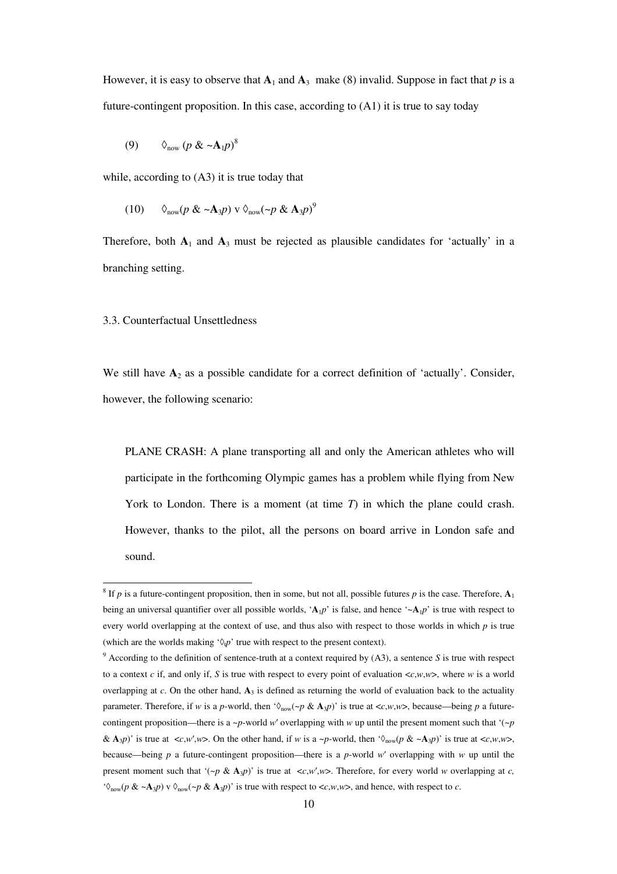However, it is easy to observe that  $A_1$  and  $A_3$  make (8) invalid. Suppose in fact that p is a future-contingent proposition. In this case, according to (A1) it is true to say today

$$
(9) \qquad \lozenge_{\text{now}} (p \& \sim \mathbf{A}_1 p)^8
$$

while, according to (A3) it is true today that

(10) 
$$
\Diamond_{\text{now}}(p \& \sim \mathbf{A}_3 p) \vee \Diamond_{\text{now}}(\sim p \& \mathbf{A}_3 p)^9
$$

Therefore, both  $A_1$  and  $A_3$  must be rejected as plausible candidates for 'actually' in a branching setting.

#### 3.3. Counterfactual Unsettledness

 $\overline{a}$ 

We still have  $A_2$  as a possible candidate for a correct definition of 'actually'. Consider, however, the following scenario:

PLANE CRASH: A plane transporting all and only the American athletes who will participate in the forthcoming Olympic games has a problem while flying from New York to London. There is a moment (at time *T*) in which the plane could crash. However, thanks to the pilot, all the persons on board arrive in London safe and sound.

 $^8$  If *p* is a future-contingent proposition, then in some, but not all, possible futures *p* is the case. Therefore,  $A_1$ being an universal quantifier over all possible worlds, ' $A_1p$ ' is false, and hence ' $\sim A_1p$ ' is true with respect to every world overlapping at the context of use, and thus also with respect to those worlds in which *p* is true (which are the worlds making ' $\Diamond_p$ ' true with respect to the present context).

<sup>9</sup> According to the definition of sentence-truth at a context required by (A3), a sentence *S* is true with respect to a context *c* if, and only if, *S* is true with respect to every point of evaluation <*c*,*w*,*w*>, where *w* is a world overlapping at  $c$ . On the other hand,  $\mathbf{A}_3$  is defined as returning the world of evaluation back to the actuality parameter. Therefore, if *w* is a *p*-world, then ' $\Diamond_{\text{now}}(\neg p \& \mathbf{A}_3 p)$ ' is true at <*c*,*w*,*w*>, because—being *p* a futurecontingent proposition—there is a ~*p*-world *w'* overlapping with *w* up until the present moment such that '(~*p* &  $\mathbf{A}_3 p$ )' is true at  $\langle c, w', w \rangle$ . On the other hand, if *w* is a ~*p*-world, then  $\langle \delta_{\text{now}}(p \& \sim \mathbf{A}_3 p) \rangle$ ' is true at  $\langle c, w, w \rangle$ , because—being *p* a future-contingent proposition—there is a *p*-world *w*ʹ overlapping with *w* up until the present moment such that '( $\neg p \& A_3 p$ )' is true at  $\langle c, w', w \rangle$ . Therefore, for every world *w* overlapping at *c*,  $\langle \phi_{\text{now}}(p \& \neg \mathbf{A}_3 p) \lor \phi_{\text{now}}(\neg p \& \mathbf{A}_3 p) \rangle$  is true with respect to  $\langle c, w, w \rangle$ , and hence, with respect to *c*.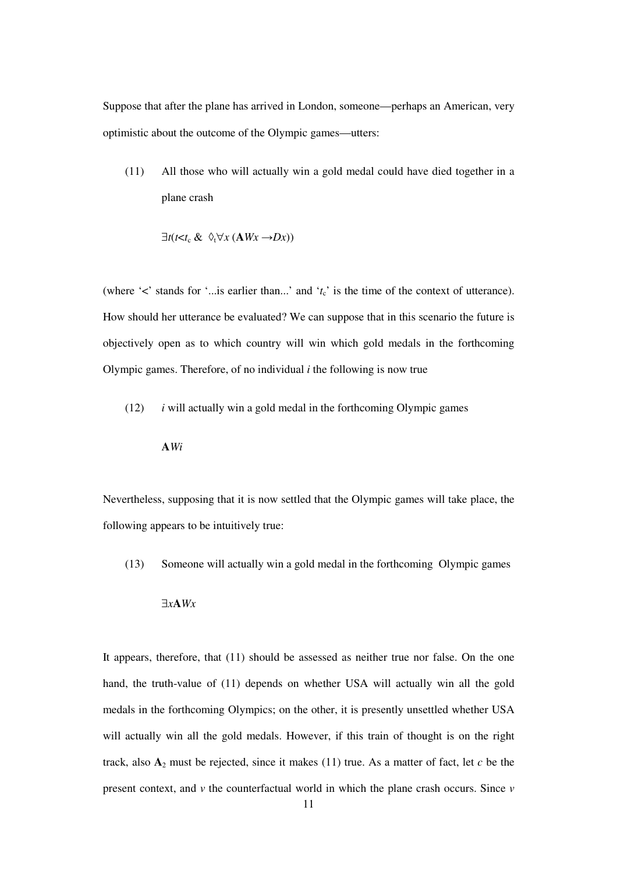Suppose that after the plane has arrived in London, someone—perhaps an American, very optimistic about the outcome of the Olympic games—utters:

(11) All those who will actually win a gold medal could have died together in a plane crash

$$
\exists t (t < t_{\rm c} \& \Diamond_{\rm t} \forall x \ (A \, Wx \rightarrow Dx))
$$

(where  $\leq$ ' stands for  $\leq$ '...is earlier than...' and  $\leq t_c$ ' is the time of the context of utterance). How should her utterance be evaluated? We can suppose that in this scenario the future is objectively open as to which country will win which gold medals in the forthcoming Olympic games. Therefore, of no individual *i* the following is now true

(12) *i* will actually win a gold medal in the forthcoming Olympic games

#### **A***Wi*

Nevertheless, supposing that it is now settled that the Olympic games will take place, the following appears to be intuitively true:

(13) Someone will actually win a gold medal in the forthcoming Olympic games

#### ∃*x***A***Wx*

It appears, therefore, that (11) should be assessed as neither true nor false. On the one hand, the truth-value of (11) depends on whether USA will actually win all the gold medals in the forthcoming Olympics; on the other, it is presently unsettled whether USA will actually win all the gold medals. However, if this train of thought is on the right track, also **A**2 must be rejected, since it makes (11) true. As a matter of fact, let *c* be the present context, and *v* the counterfactual world in which the plane crash occurs. Since *v*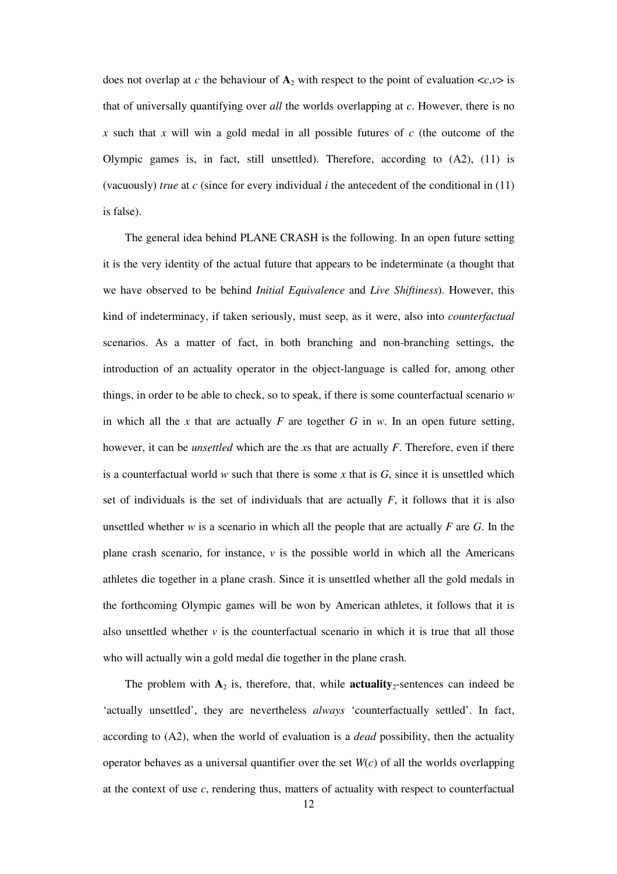does not overlap at *c* the behaviour of  $A_2$  with respect to the point of evaluation  $\langle c, v \rangle$  is that of universally quantifying over *all* the worlds overlapping at *c*. However, there is no *x* such that *x* will win a gold medal in all possible futures of *c* (the outcome of the Olympic games is, in fact, still unsettled). Therefore, according to (A2), (11) is (vacuously) *true* at  $c$  (since for every individual  $i$  the antecedent of the conditional in (11) is false).

The general idea behind PLANE CRASH is the following. In an open future setting it is the very identity of the actual future that appears to be indeterminate (a thought that we have observed to be behind *Initial Equivalence* and *Live Shiftiness*). However, this kind of indeterminacy, if taken seriously, must seep, as it were, also into *counterfactual* scenarios. As a matter of fact, in both branching and non-branching settings, the introduction of an actuality operator in the object-language is called for, among other things, in order to be able to check, so to speak, if there is some counterfactual scenario *w* in which all the x that are actually  $F$  are together  $G$  in  $w$ . In an open future setting, however, it can be *unsettled* which are the *x*s that are actually *F*. Therefore, even if there is a counterfactual world *w* such that there is some *x* that is *G*, since it is unsettled which set of individuals is the set of individuals that are actually  $F$ , it follows that it is also unsettled whether *w* is a scenario in which all the people that are actually *F* are *G*. In the plane crash scenario, for instance,  $\nu$  is the possible world in which all the Americans athletes die together in a plane crash. Since it is unsettled whether all the gold medals in the forthcoming Olympic games will be won by American athletes, it follows that it is also unsettled whether  $\nu$  is the counterfactual scenario in which it is true that all those who will actually win a gold medal die together in the plane crash.

The problem with  $A_2$  is, therefore, that, while **actuality**<sub>2</sub>-sentences can indeed be 'actually unsettled', they are nevertheless *always* 'counterfactually settled'. In fact, according to (A2), when the world of evaluation is a *dead* possibility, then the actuality operator behaves as a universal quantifier over the set  $W(c)$  of all the worlds overlapping at the context of use *c*, rendering thus, matters of actuality with respect to counterfactual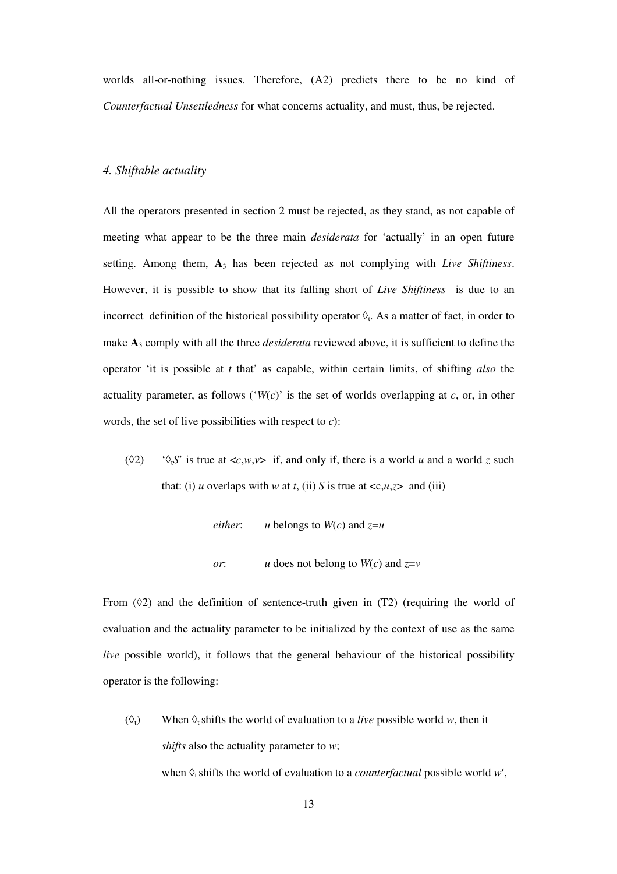worlds all-or-nothing issues. Therefore, (A2) predicts there to be no kind of *Counterfactual Unsettledness* for what concerns actuality, and must, thus, be rejected.

## *4. Shiftable actuality*

All the operators presented in section 2 must be rejected, as they stand, as not capable of meeting what appear to be the three main *desiderata* for 'actually' in an open future setting. Among them, **A**3 has been rejected as not complying with *Live Shiftiness*. However, it is possible to show that its falling short of *Live Shiftiness* is due to an incorrect definition of the historical possibility operator  $\Diamond_t$ . As a matter of fact, in order to make **A**3 comply with all the three *desiderata* reviewed above, it is sufficient to define the operator 'it is possible at *t* that' as capable, within certain limits, of shifting *also* the actuality parameter, as follows ( $W(c)$ ) is the set of worlds overlapping at *c*, or, in other words, the set of live possibilities with respect to *c*):

( $\Diamond$ 2)  $\Diamond$ <sub>t</sub>S' is true at <*c*,*w*,*v*> if, and only if, there is a world *u* and a world *z* such that: (i) *u* overlaps with *w* at *t*, (ii) *S* is true at  $\langle c, u, z \rangle$  and (iii)

*either*: *u* belongs to  $W(c)$  and  $z=u$ 

*or*: *u* does not belong to  $W(c)$  and  $z=v$ 

From  $(\Diamond 2)$  and the definition of sentence-truth given in  $(T2)$  (requiring the world of evaluation and the actuality parameter to be initialized by the context of use as the same *live* possible world), it follows that the general behaviour of the historical possibility operator is the following:

( $\Diamond$ <sub>t</sub>) When  $\Diamond$ <sub>t</sub> shifts the world of evaluation to a *live* possible world *w*, then it *shifts* also the actuality parameter to *w*; when  $\Diamond_t$  shifts the world of evaluation to a *counterfactual* possible world *w'*,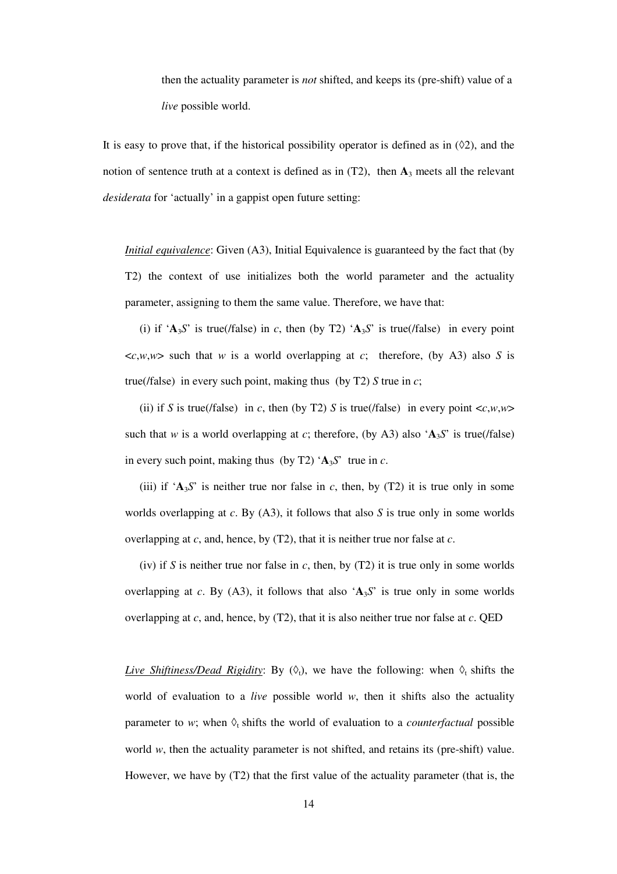then the actuality parameter is *not* shifted, and keeps its (pre-shift) value of a *live* possible world.

It is easy to prove that, if the historical possibility operator is defined as in  $(82)$ , and the notion of sentence truth at a context is defined as in  $(T2)$ , then  $\mathbf{A}_3$  meets all the relevant *desiderata* for 'actually' in a gappist open future setting:

*Initial equivalence*: Given (A3), *Initial Equivalence* is guaranteed by the fact that (by T2) the context of use initializes both the world parameter and the actuality parameter, assigning to them the same value. Therefore, we have that:

(i) if  $^{\circ}$ **A**<sub>3</sub>*S*' is true(/false) in *c*, then (by T2)  $^{\circ}$ **A**<sub>3</sub>*S*' is true(/false) in every point  $\langle c, w, w \rangle$  such that *w* is a world overlapping at *c*; therefore, (by A3) also *S* is true(/false) in every such point, making thus (by T2) *S* true in *c*;

(ii) if *S* is true(*false*) in *c*, then (by T2) *S* is true(*false*) in every point  $\langle c, w, w \rangle$ such that *w* is a world overlapping at *c*; therefore, (by A3) also ' $A_3S$ ' is true(/false) in every such point, making thus (by T2)  $A_3S'$  true in *c*.

(iii) if  $A_3S'$  is neither true nor false in *c*, then, by (T2) it is true only in some worlds overlapping at *c*. By (A3), it follows that also *S* is true only in some worlds overlapping at *c*, and, hence, by (T2), that it is neither true nor false at *c*.

(iv) if *S* is neither true nor false in *c*, then, by  $(T2)$  it is true only in some worlds overlapping at *c*. By (A3), it follows that also ' $A_3S$ ' is true only in some worlds overlapping at *c*, and, hence, by (T2), that it is also neither true nor false at *c*. QED

*Live Shiftiness/Dead Rigidity*: By  $(\Diamond_t)$ , we have the following: when  $\Diamond_t$  shifts the world of evaluation to a *live* possible world *w*, then it shifts also the actuality parameter to *w*; when  $\Diamond$ <sub>i</sub> shifts the world of evaluation to a *counterfactual* possible world *w*, then the actuality parameter is not shifted, and retains its (pre-shift) value. However, we have by (T2) that the first value of the actuality parameter (that is, the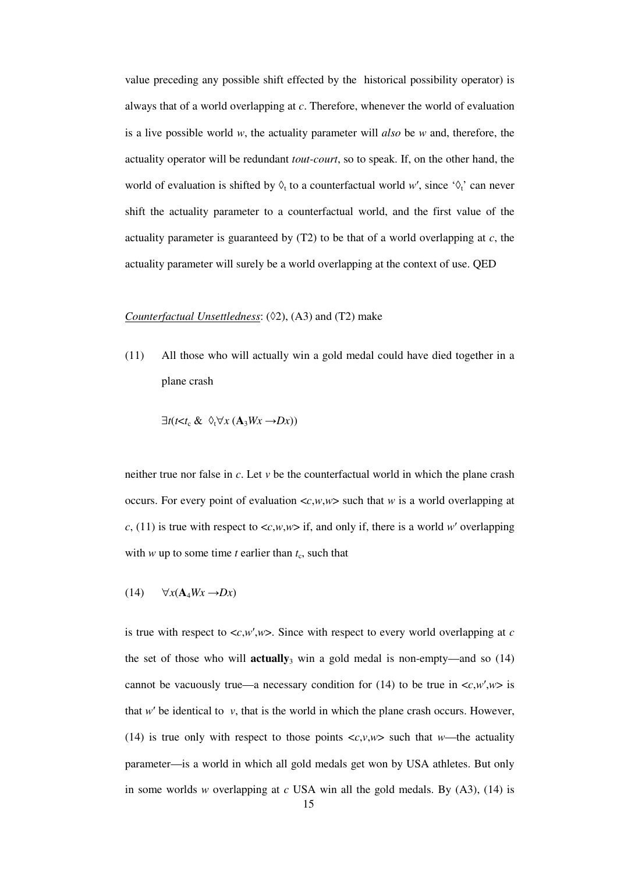value preceding any possible shift effected by the historical possibility operator) is always that of a world overlapping at *c*. Therefore, whenever the world of evaluation is a live possible world *w*, the actuality parameter will *also* be *w* and, therefore, the actuality operator will be redundant *tout-court*, so to speak. If, on the other hand, the world of evaluation is shifted by  $\Diamond_t$  to a counterfactual world *w'*, since ' $\Diamond_t$ ' can never shift the actuality parameter to a counterfactual world, and the first value of the actuality parameter is guaranteed by (T2) to be that of a world overlapping at *c*, the actuality parameter will surely be a world overlapping at the context of use. QED

## *Counterfactual Unsettledness*: ( $\Diamond$ 2), (A3) and (T2) make

(11) All those who will actually win a gold medal could have died together in a plane crash

$$
\exists t (t < t_{\rm c} \& \Diamond_{\rm t} \forall x (\mathbf{A}_3 W x \rightarrow D x))
$$

neither true nor false in *c*. Let *v* be the counterfactual world in which the plane crash occurs. For every point of evaluation  $\langle c, w, w \rangle$  such that *w* is a world overlapping at  $c$ , (11) is true with respect to  $\langle c, w, w \rangle$  if, and only if, there is a world *w*' overlapping with  $w$  up to some time  $t$  earlier than  $t_c$ , such that

$$
(14) \qquad \forall x (\mathbf{A}_4 W x \rightarrow Dx)
$$

is true with respect to  $\langle c, w', w \rangle$ . Since with respect to every world overlapping at *c* the set of those who will **actually**<sub>3</sub> win a gold medal is non-empty—and so  $(14)$ cannot be vacuously true—a necessary condition for (14) to be true in  $\langle c, w', w \rangle$  is that  $w'$  be identical to  $v$ , that is the world in which the plane crash occurs. However, (14) is true only with respect to those points  $\langle c, v, w \rangle$  such that *w*—the actuality parameter—is a world in which all gold medals get won by USA athletes. But only in some worlds *w* overlapping at *c* USA win all the gold medals. By (A3), (14) is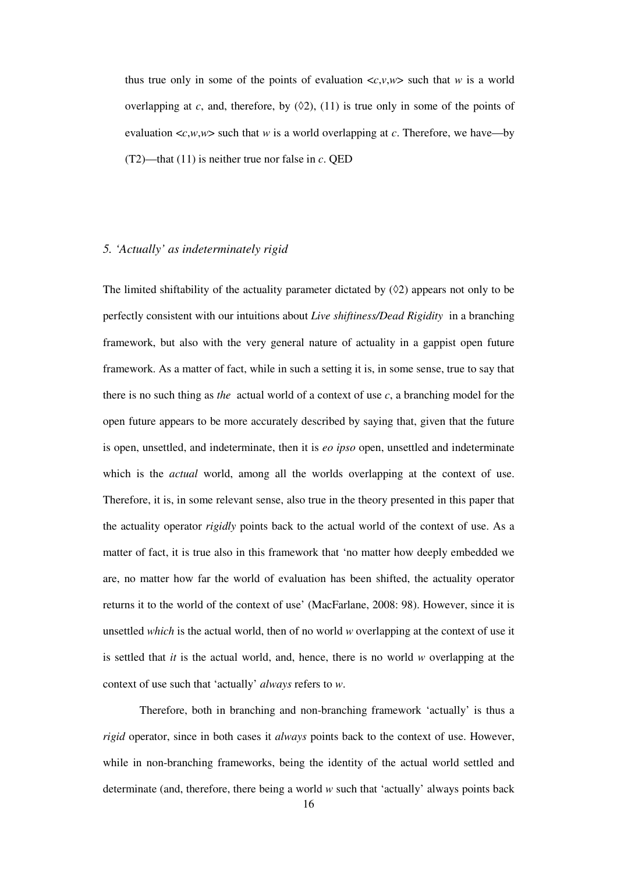thus true only in some of the points of evaluation  $\langle c, v, w \rangle$  such that *w* is a world overlapping at *c*, and, therefore, by  $(82)$ ,  $(11)$  is true only in some of the points of evaluation  $\langle c, w, w \rangle$  such that *w* is a world overlapping at *c*. Therefore, we have—by (T2)—that (11) is neither true nor false in *c*. QED

# *5. 'Actually' as indeterminately rigid*

The limited shiftability of the actuality parameter dictated by  $(82)$  appears not only to be perfectly consistent with our intuitions about *Live shiftiness/Dead Rigidity* in a branching framework, but also with the very general nature of actuality in a gappist open future framework. As a matter of fact, while in such a setting it is, in some sense, true to say that there is no such thing as *the* actual world of a context of use *c*, a branching model for the open future appears to be more accurately described by saying that, given that the future is open, unsettled, and indeterminate, then it is *eo ipso* open, unsettled and indeterminate which is the *actual* world, among all the worlds overlapping at the context of use. Therefore, it is, in some relevant sense, also true in the theory presented in this paper that the actuality operator *rigidly* points back to the actual world of the context of use. As a matter of fact, it is true also in this framework that 'no matter how deeply embedded we are, no matter how far the world of evaluation has been shifted, the actuality operator returns it to the world of the context of use' (MacFarlane, 2008: 98). However, since it is unsettled *which* is the actual world, then of no world *w* overlapping at the context of use it is settled that *it* is the actual world, and, hence, there is no world *w* overlapping at the context of use such that 'actually' *always* refers to *w*.

 Therefore, both in branching and non-branching framework 'actually' is thus a *rigid* operator, since in both cases it *always* points back to the context of use. However, while in non-branching frameworks, being the identity of the actual world settled and determinate (and, therefore, there being a world *w* such that 'actually' always points back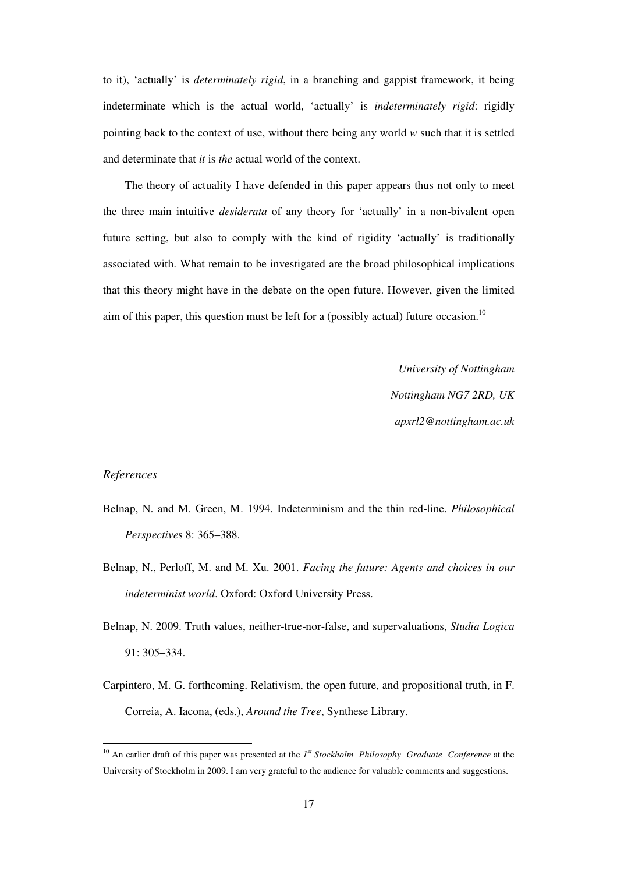to it), 'actually' is *determinately rigid*, in a branching and gappist framework, it being indeterminate which is the actual world, 'actually' is *indeterminately rigid*: rigidly pointing back to the context of use, without there being any world *w* such that it is settled and determinate that *it* is *the* actual world of the context.

The theory of actuality I have defended in this paper appears thus not only to meet the three main intuitive *desiderata* of any theory for 'actually' in a non-bivalent open future setting, but also to comply with the kind of rigidity 'actually' is traditionally associated with. What remain to be investigated are the broad philosophical implications that this theory might have in the debate on the open future. However, given the limited aim of this paper, this question must be left for a (possibly actual) future occasion.<sup>10</sup>

> *University of Nottingham Nottingham NG7 2RD, UK apxrl2@nottingham.ac.uk*

### *References*

 $\overline{a}$ 

- Belnap, N. and M. Green, M. 1994. Indeterminism and the thin red-line. *Philosophical Perspective*s 8: 365–388.
- Belnap, N., Perloff, M. and M. Xu. 2001. *Facing the future: Agents and choices in our indeterminist world*. Oxford: Oxford University Press.
- Belnap, N. 2009. Truth values, neither-true-nor-false, and supervaluations, *Studia Logica* 91: 305–334.
- Carpintero, M. G. forthcoming. Relativism, the open future, and propositional truth, in F. Correia, A. Iacona, (eds.), *Around the Tree*, Synthese Library.

<sup>&</sup>lt;sup>10</sup> An earlier draft of this paper was presented at the 1<sup>st</sup> Stockholm Philosophy Graduate Conference at the University of Stockholm in 2009. I am very grateful to the audience for valuable comments and suggestions.